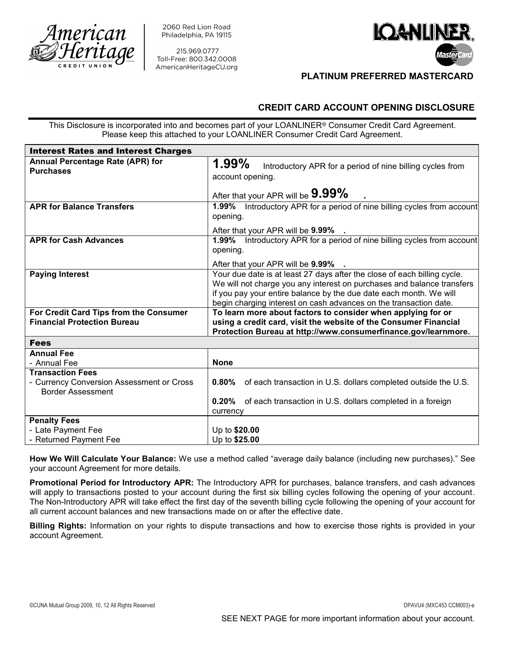

2060 Red Lion Road Philadelphia, PA 19115

215.969.0777 Toll-Free: 800.342.0008



## PLATINUM PREFERRED MASTERCARD